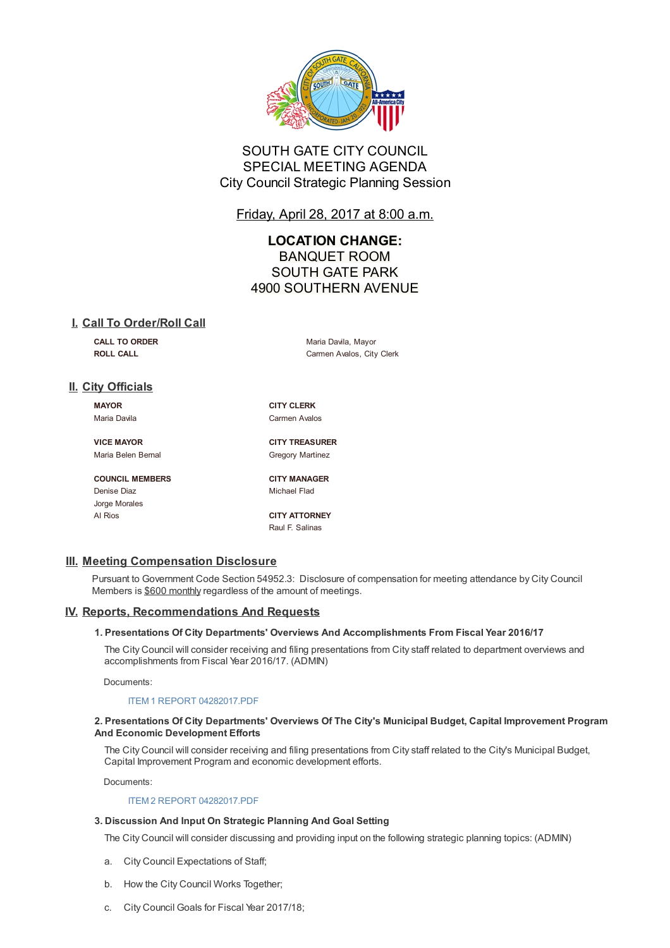

# SOUTH GATE CITY COUNCIL SPECIAL MEETING AGENDA City Council Strategic Planning Session

Friday, April 28, 2017 at 8:00 a.m.

# **LOCATION CHANGE:** BANQUET ROOM SOUTH GATE PARK 4900 SOUTHERN AVENUE

## **I. Call To Order/Roll Call**

**CALL TO ORDER** Maria Davila, Mayor **ROLL CALL CALL CALL CALL CALL CALL CALL CALL CALL CALL CALL CALL CALL CALL CALL CALL CALL CALL CALL CALL CALL CALL CALL CALL CALL CALL CALL CALL CALL CALL CALL**

# **II. City Officials**

**MAYOR CITY CLERK**

Maria Davila **Carmen Avalos** 

**VICE MAYOR CITY TREASURER** Maria Belen Bernal Gregory Martinez

**COUNCIL MEMBERS CITY MANAGER** Denise Diaz **Michael Flad** Jorge Morales Al Rios **CITY ATTORNEY**

Raul F. Salinas

## **III. Meeting Compensation Disclosure**

Pursuant to Government Code Section 54952.3: Disclosure of compensation for meeting attendance by City Council Members is \$600 monthly regardless of the amount of meetings.

## **IV. Reports, Recommendations And Requests**

## **1. Presentations Of City Departments' Overviews And Accomplishments From Fiscal Year 2016/17**

The City Council will consider receiving and filing presentations from City staff related to department overviews and accomplishments from Fiscal Year 2016/17. (ADMIN)

Documents:

## ITEM 1 REPORT 04282017.PDF

#### **2. Presentations Of City Departments' Overviews Of The City's Municipal Budget, Capital Improvement Program And Economic Development Efforts**

The City Council will consider receiving and filing presentations from City staff related to the City's Municipal Budget, Capital [Improvement](D:/AgendaCenter/ViewFile/Item/4018?fileID=9640) Program and economic development efforts.

Documents:

## ITEM 2 REPORT 04282017.PDF

## **3. Discussion And Input On Strategic Planning And Goal Setting**

The City Council will consider discussing and providing input on the following strategic planning topics: (ADMIN)

- a. City Council [Expectations](D:/AgendaCenter/ViewFile/Item/4019?fileID=9641) of Staff;
- b. How the City Council Works Together;
- c. City Council Goals for Fiscal Year 2017/18;